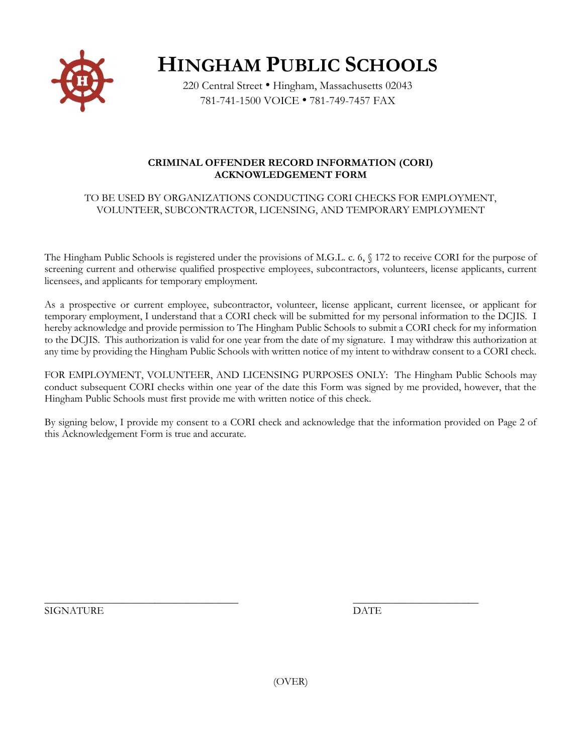

**HINGHAM PUBLIC SCHOOLS**

220 Central Street • Hingham, Massachusetts 02043 781-741-1500 VOICE • 781-749-7457 FAX

## **CRIMINAL OFFENDER RECORD INFORMATION (CORI) ACKNOWLEDGEMENT FORM**

## TO BE USED BY ORGANIZATIONS CONDUCTING CORI CHECKS FOR EMPLOYMENT, VOLUNTEER, SUBCONTRACTOR, LICENSING, AND TEMPORARY EMPLOYMENT

The Hingham Public Schools is registered under the provisions of M.G.L. c. 6, § 172 to receive CORI for the purpose of screening current and otherwise qualified prospective employees, subcontractors, volunteers, license applicants, current licensees, and applicants for temporary employment.

As a prospective or current employee, subcontractor, volunteer, license applicant, current licensee, or applicant for temporary employment, I understand that a CORI check will be submitted for my personal information to the DCJIS. I hereby acknowledge and provide permission to The Hingham Public Schools to submit a CORI check for my information to the DCJIS. This authorization is valid for one year from the date of my signature. I may withdraw this authorization at any time by providing the Hingham Public Schools with written notice of my intent to withdraw consent to a CORI check.

FOR EMPLOYMENT, VOLUNTEER, AND LICENSING PURPOSES ONLY: The Hingham Public Schools may conduct subsequent CORI checks within one year of the date this Form was signed by me provided, however, that the Hingham Public Schools must first provide me with written notice of this check.

By signing below, I provide my consent to a CORI check and acknowledge that the information provided on Page 2 of this Acknowledgement Form is true and accurate.

SIGNATURE DATE

\_\_\_\_\_\_\_\_\_\_\_\_\_\_\_\_\_\_\_\_\_\_\_\_\_\_\_\_\_\_\_\_\_\_\_\_\_ \_\_\_\_\_\_\_\_\_\_\_\_\_\_\_\_\_\_\_\_\_\_\_\_